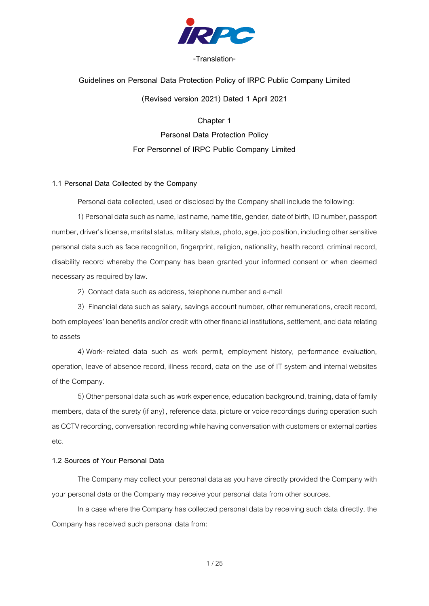

### **-Translation-**

# **Guidelines on Personal Data Protection Policy of IRPC Public Company Limited (Revised version 2021) Dated 1 April 2021**

**Chapter 1**

**Personal Data Protection Policy For Personnel of IRPC Public Company Limited**

#### **1.1 Personal Data Collected by the Company**

Personal data collected, used or disclosed by the Company shall include the following:

1) Personal data such as name, last name, name title, gender, date of birth, ID number, passport number, driver's license, marital status, military status, photo, age, job position, including other sensitive personal data such as face recognition, fingerprint, religion, nationality, health record, criminal record, disability record whereby the Company has been granted your informed consent or when deemed necessary as required by law.

2) Contact data such as address, telephone number and e-mail

3) Financial data such as salary, savings account number, other remunerations, credit record, both employees' loan benefits and/or credit with other financial institutions, settlement, and datarelating to assets

4) Work- related data such as work permit, employment history, performance evaluation, operation, leave of absence record, illness record, data on the use of IT system and internal websites of the Company.

5) Other personal data such as work experience, education background, training, data of family members, data of the surety (if any), reference data, picture or voice recordings during operation such as CCTV recording, conversation recording while having conversation with customers or external parties etc.

### **1.2 Sources of Your Personal Data**

The Company may collect your personal data as you have directly provided the Company with your personal data or the Company may receive your personal data from other sources.

In a case where the Company has collected personal data by receiving such data directly, the Company has received such personal data from: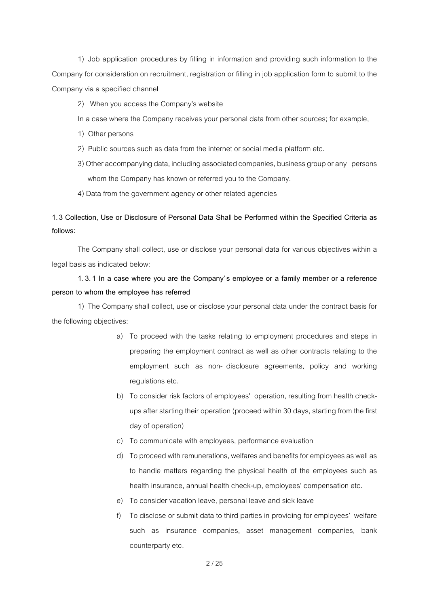1) Job application procedures by filling in information and providing such information to the Company for consideration on recruitment, registration or filling in job application form to submit to the Company via a specified channel

- 2) When you access the Company's website
- In a case where the Company receives your personal data from other sources; for example,
- 1) Other persons
- 2) Public sources such as data from the internet or social media platform etc.
- 3) Other accompanying data, including associated companies, business group or any persons whom the Company has known or referred you to the Company.
- 4) Data from the government agency or other related agencies

**1.3 Collection, Use or Disclosure of Personal Data Shall be Performed within the Specified Criteria as follows:**

The Company shall collect, use or disclose your personal data for various objectives within a legal basis as indicated below:

## **1.3.1 In a case where you are the Company's employee or a family member or a reference person to whom the employee has referred**

1) The Company shall collect, use or disclose your personal data under the contract basis for the following objectives:

- a) To proceed with the tasks relating to employment procedures and steps in preparing the employment contract as well as other contracts relating to the employment such as non- disclosure agreements, policy and working regulations etc.
- b) To consider risk factors of employees' operation, resulting from health checkupsafter starting their operation (proceed within 30 days, starting from the first day of operation)
- c) To communicate with employees, performance evaluation
- d) To proceed with remunerations, welfares and benefits for employees as well as to handle matters regarding the physical health of the employees such as health insurance, annual health check-up, employees' compensation etc.
- e) To consider vacation leave, personal leave and sick leave
- f) To disclose or submit data to third parties in providing for employees' welfare such as insurance companies, asset management companies, bank counterparty etc.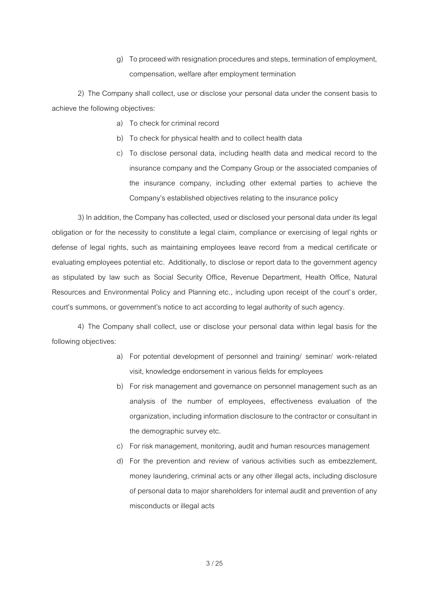g) To proceed with resignation procedures and steps, termination of employment, compensation, welfare after employment termination

2) The Company shall collect, use or disclose your personal data under the consent basis to achieve the following objectives:

- a) To check for criminal record
- b) To check for physical health and to collect health data
- c) To disclose personal data, including health data and medical record to the insurance company and the Company Group or the associated companies of the insurance company, including other external parties to achieve the Company's established objectives relating to the insurance policy

3) In addition, the Company has collected, used or disclosed your personal data under its legal obligation or for the necessity to constitute a legal claim, compliance or exercising of legal rights or defense of legal rights, such as maintaining employees leave record from a medical certificate or evaluating employees potential etc. Additionally, to disclose or report data to the government agency as stipulated by law such as Social Security Office, Revenue Department, Health Office, Natural Resources and Environmental Policy and Planning etc., including upon receipt of the court's order, court's summons, or government's notice to act according to legal authority of such agency.

4) The Company shall collect, use or disclose your personal data within legal basis for the following objectives:

- a) For potential development of personnel and training/ seminar/ work-related visit, knowledge endorsement in various fields for employees
- b) For risk management and governance on personnel management such as an analysis of the number of employees, effectiveness evaluation of the organization, including information disclosure to the contractor or consultant in the demographic survey etc.
- c) For risk management, monitoring, audit and human resources management
- d) For the prevention and review of various activities such as embezzlement, money laundering, criminal acts or any other illegal acts, including disclosure of personal data to major shareholders for internal audit and prevention of any misconducts or illegal acts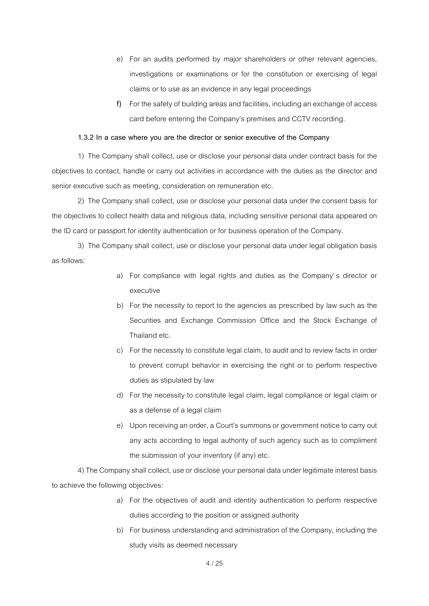- e) For an audits performed by major shareholders or other relevant agencies, investigations or examinations or for the constitution or exercising of legal claims or to use as an evidence in any legal proceedings
- f) For the safety of building areas and facilities, including an exchange of access card before entering the Company's premises and CCTV recording.

#### **1.3.2 In a case where you are the director or senior executive of the Company**

1) The Company shall collect, use or disclose your personal data under contract basis for the objectives to contact, handle or carry out activities in accordance with the duties as the director and senior executive such as meeting, consideration on remuneration etc.

2) The Company shall collect, use or disclose your personal data under the consent basis for the objectives to collect health data and religious data, including sensitive personal data appeared on the ID card or passport for identity authentication or for business operation of the Company.

3) The Company shall collect, use or disclose your personal data under legal obligation basis as follows:

- a) For compliance with legal rights and duties as the Company's director or executive
- b) For the necessity to report to the agencies as prescribed by law such as the Securities and Exchange Commission Office and the Stock Exchange of Thailand etc.
- c) For the necessity to constitute legal claim, to audit and to review facts in order to prevent corrupt behavior in exercising the right or to perform respective duties as stipulated by law
- d) For the necessity to constitute legal claim, legal compliance or legal claim or as a defense of a legal claim
- e) Upon receiving an order, a Court's summons or government notice to carry out any acts according to legal authority of such agency such as to compliment the submission of your inventory (if any) etc.

4) The Company shall collect, use or disclose your personal data under legitimate interest basis to achieve the following objectives:

- a) For the objectives of audit and identity authentication to perform respective duties according to the position or assigned authority
- b) For business understanding and administration of the Company, including the study visits as deemed necessary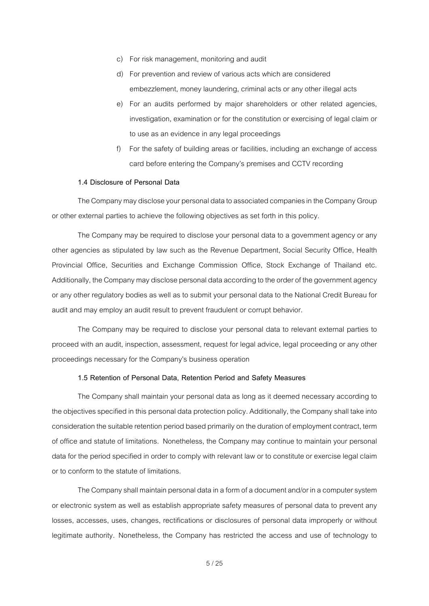- c) For risk management, monitoring and audit
- d) For prevention and review of various acts which are considered embezzlement, money laundering, criminal acts or any other illegal acts
- e) For an audits performed by major shareholders or other related agencies, investigation, examination or for the constitution or exercising of legal claim or to use as an evidence in any legal proceedings
- f) For the safety of building areas or facilities, including an exchange of access card before entering the Company's premises and CCTV recording

### **1.4 Disclosure of Personal Data**

The Company may disclose your personal data to associated companies in the Company Group or other external parties to achieve the following objectives as set forth in this policy.

The Company may be required to disclose your personal data to a government agency or any other agencies as stipulated by law such as the Revenue Department, Social Security Office, Health Provincial Office, Securities and Exchange Commission Office, Stock Exchange of Thailand etc. Additionally, the Company may disclose personal data according to the order of the government agency or any other regulatory bodies as well as to submit your personal data to the National Credit Bureau for audit and may employ an audit result to prevent fraudulent or corrupt behavior.

The Company may be required to disclose your personal data to relevant external parties to proceed with an audit, inspection, assessment, request for legal advice, legal proceeding or any other proceedings necessary for the Company's business operation

### **1.5 Retention of Personal Data, Retention Period and Safety Measures**

The Company shall maintain your personal data as long as it deemed necessary according to the objectives specified in this personal data protection policy. Additionally, the Company shall take into consideration the suitable retention period based primarily on the duration of employment contract, term of office and statute of limitations. Nonetheless, the Company may continue to maintain your personal data for the period specified in order to comply with relevant law or to constitute or exercise legal claim or to conform to the statute of limitations.

The Company shall maintain personal data in a form of a document and/or in a computer system or electronic system as well as establish appropriate safety measures of personal data to prevent any losses, accesses, uses, changes, rectifications or disclosures of personal data improperly or without legitimate authority. Nonetheless, the Company has restricted the access and use of technology to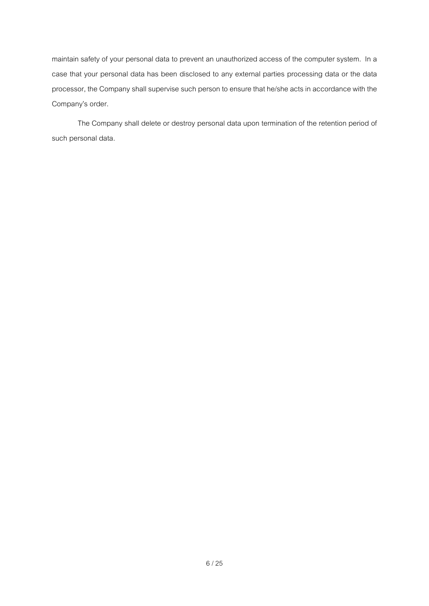maintain safety of your personal data to prevent an unauthorized access of the computer system. In a case that your personal data has been disclosed to any external parties processing data or the data processor, the Company shall supervise such person to ensure that he/she acts in accordance with the Company's order.

The Company shall delete or destroy personal data upon termination of the retention period of such personal data.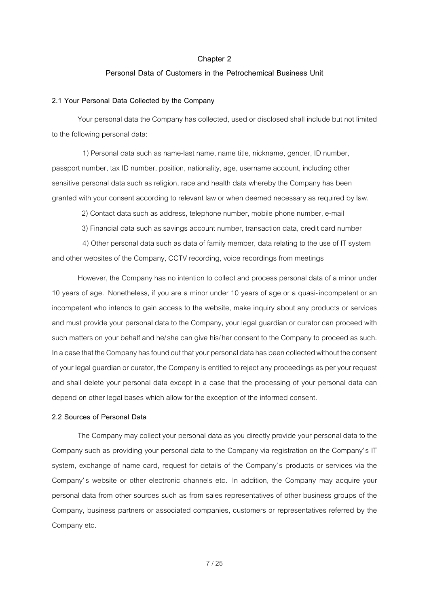#### **Personal Data of Customers in the Petrochemical Business Unit**

### **2.1 Your Personal Data Collected by the Company**

Your personal data the Company has collected, used or disclosed shall include but not limited to the following personal data:

1) Personal data such as name-last name, name title, nickname, gender, ID number, passport number, tax ID number, position, nationality, age, username account, including other sensitive personal data such as religion, race and health data whereby the Company has been granted with your consent according to relevant law or when deemed necessary as required by law.

2) Contact data such as address, telephone number, mobile phone number, e-mail

3) Financial data such as savings account number, transaction data, credit card number

4) Other personal data such as data of family member, data relating to the use of IT system and other websites of the Company, CCTV recording, voice recordings from meetings

However, the Company has no intention to collect and process personal data of a minor under 10 years of age. Nonetheless, if you are a minor under 10 years of age or a quasi-incompetent or an incompetent who intends to gain access to the website, make inquiry about any products or services and must provide your personal data to the Company, your legal guardian or curator can proceed with such matters on your behalf and he/she can give his/her consent to the Company to proceed as such. In a case that the Company has found out that your personal data has been collected without the consent of your legal guardian or curator, the Company is entitled to reject any proceedings as per your request and shall delete your personal data except in a case that the processing of your personal data can depend on other legal bases which allow for the exception of the informed consent.

### **2.2 Sources of Personal Data**

The Company may collect your personal data as you directly provide your personal data to the Company such as providing your personal data to the Company via registration on the Company's IT system, exchange of name card, request for details of the Company's products or services via the Company's website or other electronic channels etc. In addition, the Company may acquire your personal data from other sources such as from sales representatives of other business groups of the Company, business partners or associated companies, customers or representatives referred by the Company etc.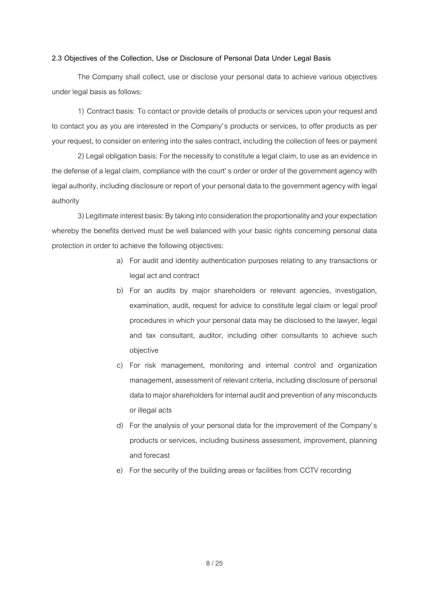#### **2.3 Objectives of the Collection, Use or Disclosure of Personal Data Under Legal Basis**

The Company shall collect, use or disclose your personal data to achieve various objectives under legal basis as follows:

1) Contract basis: To contact or provide details of products or services upon your request and to contact you as you are interested in the Company's products or services, to offer products as per your request, to consider on entering into the sales contract, including the collection of fees or payment

2) Legal obligation basis: For the necessity to constitutealegal claim, to use as an evidence in the defense of a legal claim, compliance with the court' s order or order of the government agency with legal authority, including disclosure or report of your personal data to the government agency with legal authority

3)Legitimate interest basis: By taking into consideration the proportionality and your expectation whereby the benefits derived must be well balanced with your basic rights concerning personal data protection in order to achieve the following objectives:

- a) For audit and identity authentication purposes relating to any transactions or legal act and contract
- b) For an audits by major shareholders or relevant agencies, investigation, examination, audit, request for advice to constitute legal claim or legal proof procedures in which your personal data may be disclosed to the lawyer, legal and tax consultant, auditor, including other consultants to achieve such objective
- c) For risk management, monitoring and internal control and organization management, assessment of relevant criteria, including disclosure of personal data to major shareholders for internal audit and prevention of any misconducts or illegal acts
- d) For the analysis of your personal data for the improvement of the Company's products or services, including business assessment, improvement, planning and forecast
- e) For the security of the building areas or facilities from CCTV recording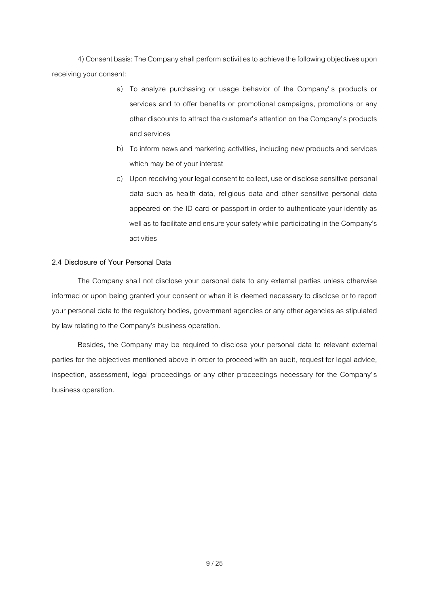4) Consent basis: The Company shall perform activities to achieve the following objectives upon receiving your consent:

- a) To analyze purchasing or usage behavior of the Company' s products or services and to offer benefits or promotional campaigns, promotions or any other discounts to attract the customer's attention on the Company's products and services
- b) To inform news and marketing activities, including new products and services which may be of your interest
- c) Upon receiving your legal consent to collect, use or disclose sensitive personal data such as health data, religious data and other sensitive personal data appeared on the ID card or passport in order to authenticate your identity as well as to facilitate and ensure your safety while participating in the Company's activities

### **2.4 Disclosure of Your Personal Data**

The Company shall not disclose your personal data to any external parties unless otherwise informed or upon being granted your consent or when it is deemed necessary to disclose or to report your personal data to the regulatory bodies, government agencies or any other agencies as stipulated by law relating to the Company's business operation.

Besides, the Company may be required to disclose your personal data to relevant external parties for the objectives mentioned above in order to proceed with an audit, request for legal advice, inspection, assessment, legal proceedings or any other proceedings necessary for the Company's business operation.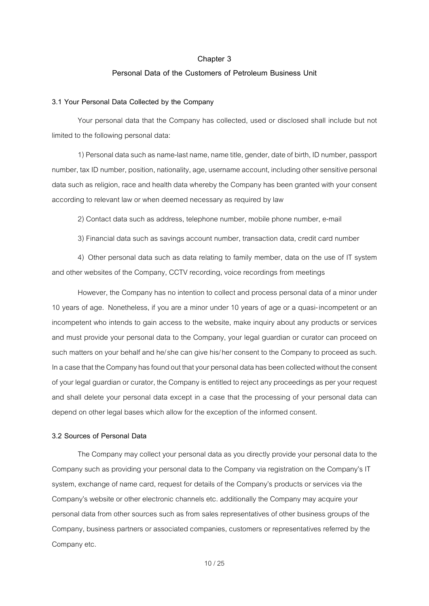#### **Personal Data of the Customers of Petroleum Business Unit**

### **3.1 Your Personal Data Collected by the Company**

Your personal data that the Company has collected, used or disclosed shall include but not limited to the following personal data:

1) Personal data such as name-last name, name title, gender, date of birth, ID number, passport number, tax ID number, position, nationality, age, username account, including other sensitive personal data such as religion, race and health data whereby the Company has been granted with your consent according to relevant law or when deemed necessary as required by law

2) Contact data such as address, telephone number, mobile phone number, e-mail

3) Financial data such as savings account number, transaction data, credit card number

4) Other personal data such as data relating to family member, data on the use of IT system and other websites of the Company, CCTV recording, voice recordings from meetings

However, the Company has no intention to collect and process personal data of a minor under 10 years of age. Nonetheless, if you are a minor under 10 years of age or a quasi-incompetent or an incompetent who intends to gain access to the website, make inquiry about any products or services and must provide your personal data to the Company, your legal guardian or curator can proceed on such matters on your behalf and he/she can give his/her consent to the Company to proceed as such. In a case that the Company has found out that your personal data has been collected without the consent of your legal guardian or curator, the Company is entitled to reject any proceedings as per your request and shall delete your personal data except in a case that the processing of your personal data can depend on other legal bases which allow for the exception of the informed consent.

#### **3.2 Sources of Personal Data**

The Company may collect your personal data as you directly provide your personal data to the Company such as providing your personal data to the Company via registration on the Company's IT system, exchange of name card, request for details of the Company's products or services via the Company's website or other electronic channels etc. additionally the Company may acquire your personal data from other sources such as from sales representatives of other business groups of the Company, business partners or associated companies, customers or representatives referred by the Company etc.

10/ 25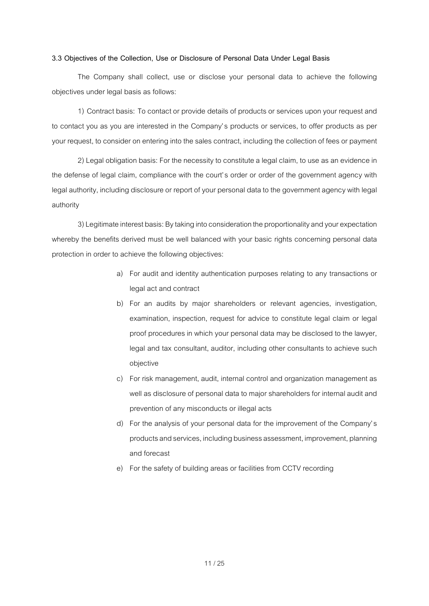#### **3.3 Objectives of the Collection, Use or Disclosure of Personal Data Under Legal Basis**

The Company shall collect, use or disclose your personal data to achieve the following objectives under legal basis as follows:

1) Contract basis: To contact or provide details of products or services upon your request and to contact you as you are interested in the Company's products or services, to offer products as per your request, to consider on entering into the sales contract, including the collection of fees or payment

2) Legal obligation basis: For the necessity to constitute a legal claim, to use as an evidence in the defense of legal claim, compliance with the court's order or order of the government agency with legal authority, including disclosure or report of your personal data to the government agency with legal authority

3)Legitimate interest basis: By taking into consideration the proportionality and your expectation whereby the benefits derived must be well balanced with your basic rights concerning personal data protection in order to achieve the following objectives:

- a) For audit and identity authentication purposes relating to any transactions or legal act and contract
- b) For an audits by major shareholders or relevant agencies, investigation, examination, inspection, request for advice to constitute legal claim or legal proof procedures in which your personal data may be disclosed to the lawyer, legal and tax consultant, auditor, including other consultants to achieve such objective
- c) For risk management, audit, internal control and organization management as well as disclosure of personal data to major shareholders for internal audit and prevention of any misconducts or illegal acts
- d) For the analysis of your personal data for the improvement of the Company's products and services, including business assessment, improvement, planning and forecast
- e) For the safety of building areas or facilities from CCTV recording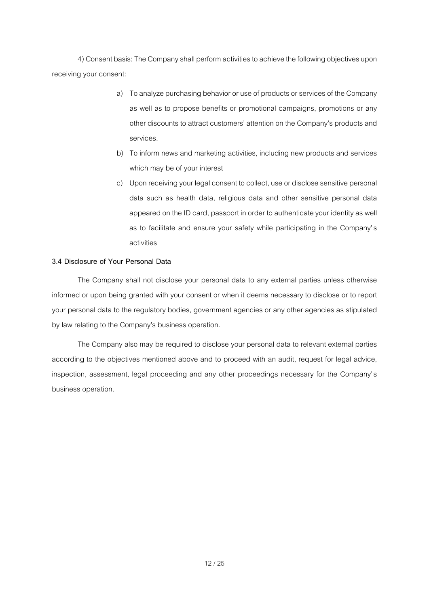4) Consent basis: The Company shall perform activities to achieve the following objectives upon receiving your consent:

- a) To analyze purchasing behavior or use of products or services of the Company as well as to propose benefits or promotional campaigns, promotions or any other discounts to attract customers' attention on the Company's products and services.
- b) To inform news and marketing activities, including new products and services which may be of your interest
- c) Upon receiving your legal consent to collect, use or disclose sensitive personal data such as health data, religious data and other sensitive personal data appeared on the ID card, passport in order to authenticate your identity as well as to facilitate and ensure your safety while participating in the Company's activities

### **3.4 Disclosure of Your Personal Data**

The Company shall not disclose your personal data to any external parties unless otherwise informed or upon being granted with your consent or when it deems necessary to disclose or to report your personal data to the regulatory bodies, government agencies or any other agencies as stipulated by law relating to the Company's business operation.

The Company also may be required to disclose your personal data to relevant external parties according to the objectives mentioned above and to proceed with an audit, request for legal advice, inspection, assessment, legal proceeding and any other proceedings necessary for the Company's business operation.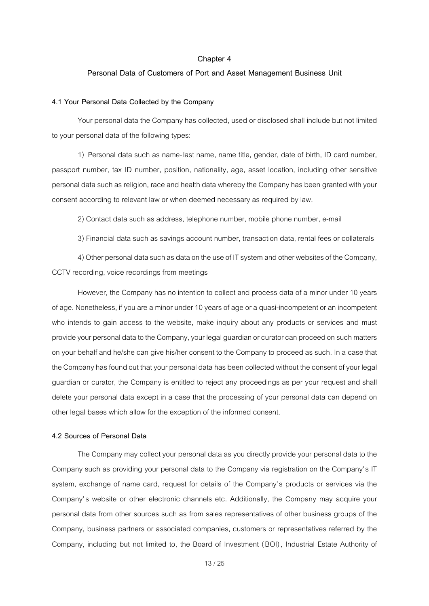#### **Personal Data of Customers of Port and Asset Management Business Unit**

### **4.1 Your Personal Data Collected by the Company**

Your personal data the Company has collected, used or disclosed shall include but not limited to your personal data of the following types:

1) Personal data such as name-last name, name title, gender, date of birth, ID card number, passport number, tax ID number, position, nationality, age, asset location, including other sensitive personal data such as religion, race and health data whereby the Company has been granted with your consent according to relevant law or when deemed necessary as required by law.

2) Contact data such as address, telephone number, mobile phone number, e-mail

3) Financial data such as savings account number, transaction data, rental fees or collaterals

4) Other personal data such as data on the use of IT system and other websites of the Company, CCTV recording, voice recordings from meetings

However, the Company has no intention to collect and process data of a minor under 10 years of age. Nonetheless, if you are a minor under 10 years of age ora quasi-incompetent or an incompetent who intends to gain access to the website, make inquiry about any products or services and must provide your personal data to the Company, your legal guardian orcurator can proceed on such matters on your behalf and he/she can give his/her consent to the Company to proceed as such. In a case that the Company has found out that your personal data has been collected without the consent of your legal guardian or curator, the Company is entitled to reject any proceedings as per your request and shall delete your personal data except in a case that the processing of your personal data can depend on other legal bases which allow for the exception of the informed consent.

#### **4.2 Sources of Personal Data**

The Company may collect your personal data as you directly provide your personal data to the Company such as providing your personal data to the Company via registration on the Company's IT system, exchange of name card, request for details of the Company's products or services via the Company's website or other electronic channels etc. Additionally, the Company may acquire your personal data from other sources such as from sales representatives of other business groups of the Company, business partners or associated companies, customers or representatives referred by the Company, including but not limited to, the Board of Investment (BOI), Industrial Estate Authority of

13/ 25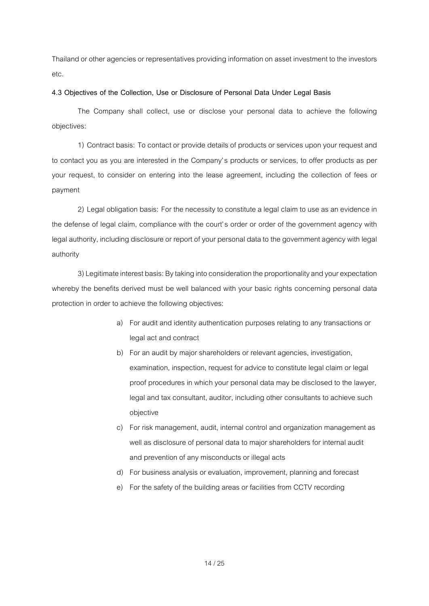Thailand or other agencies or representatives providing information on asset investment to the investors etc.

### **4.3 Objectives of the Collection, Use or Disclosure of Personal Data Under Legal Basis**

The Company shall collect, use or disclose your personal data to achieve the following objectives:

1) Contract basis: To contact or provide details of products or services upon your request and to contact you as you are interested in the Company's products or services, to offer products as per your request, to consider on entering into the lease agreement, including the collection of fees or payment

2) Legal obligation basis: For the necessity to constitute a legal claim to use as an evidence in the defense of legal claim, compliance with the court's order or order of the government agency with legal authority, including disclosure or report of your personal data to the government agency with legal authority

3) Legitimate interest basis: By taking into consideration the proportionality and your expectation whereby the benefits derived must be well balanced with your basic rights concerning personal data protection in order to achieve the following objectives:

- a) For audit and identity authentication purposes relating to any transactions or legal act and contract
- b) For an audit by major shareholders or relevant agencies, investigation, examination, inspection, request for advice to constitute legal claim or legal proof procedures in which your personal data may be disclosed to the lawyer, legal and tax consultant, auditor, including other consultants to achieve such objective
- c) For risk management, audit, internal control and organization management as well as disclosure of personal data to major shareholders for internal audit and prevention of any misconducts or illegal acts
- d) For business analysis or evaluation, improvement, planning and forecast
- e) For the safety of the building areas or facilities from CCTV recording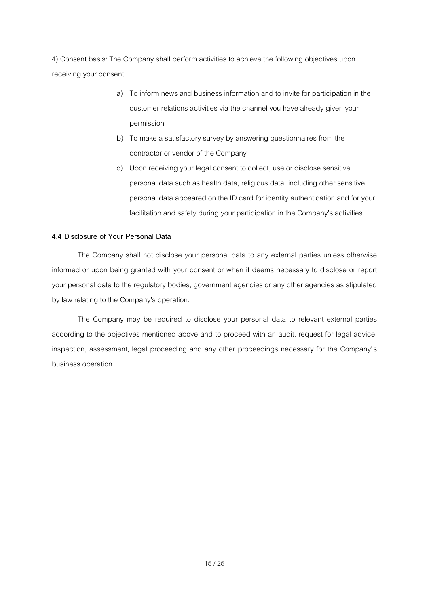4) Consent basis: The Company shall perform activities to achieve the following objectives upon receiving your consent

- a) To inform news and business information and to invite for participation in the customer relations activities via the channel you have already given your permission
- b) To make a satisfactory survey by answering questionnaires from the contractor or vendor of the Company
- c) Upon receiving your legal consent to collect, use or disclose sensitive personal data such as health data, religious data, including other sensitive personal data appeared on the ID card for identity authentication and for your facilitation and safety during your participation in the Company's activities

### **4.4 Disclosure of Your Personal Data**

The Company shall not disclose your personal data to any external parties unless otherwise informed or upon being granted with your consent or when it deems necessary to disclose or report your personal data to the regulatory bodies, government agencies or any other agencies as stipulated by law relating to the Company's operation.

The Company may be required to disclose your personal data to relevant external parties according to the objectives mentioned above and to proceed with an audit, request for legal advice, inspection, assessment, legal proceeding and any other proceedings necessary for the Company's business operation.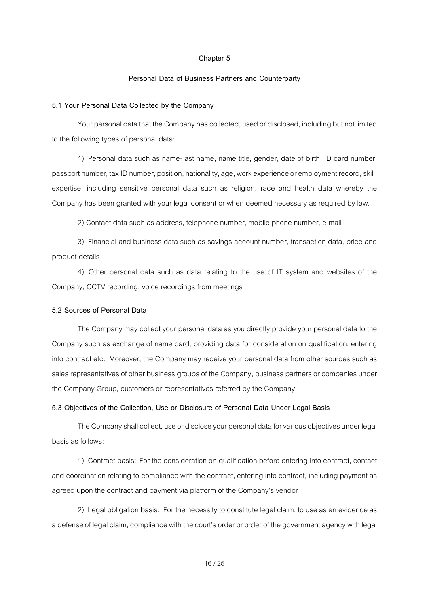### **Personal Data of Business Partners and Counterparty**

#### **5.1 Your Personal Data Collected by the Company**

Your personal data that the Company has collected, used or disclosed, including but not limited to the following types of personal data:

1) Personal data such as name-last name, name title, gender, date of birth, ID card number, passport number, tax ID number, position, nationality, age, work experience or employment record, skill, expertise, including sensitive personal data such as religion, race and health data whereby the Company has been granted with your legal consent or when deemed necessary as required by law.

2) Contact data such as address, telephone number, mobile phone number, e-mail

3) Financial and business data such as savings account number, transaction data, price and product details

4) Other personal data such as data relating to the use of IT system and websites of the Company, CCTV recording, voice recordings from meetings

### **5.2 Sources of Personal Data**

The Company may collect your personal data as you directly provide your personal data to the Company such as exchange of name card, providing data for consideration on qualification, entering into contract etc. Moreover, the Company may receive your personal data from other sources such as sales representatives of other business groups of the Company, business partners or companies under the Company Group, customers or representatives referred by the Company

#### **5.3 Objectives of the Collection, Use or Disclosure of Personal Data Under Legal Basis**

The Company shall collect, use or disclose your personal data for various objectives under legal basis as follows:

1) Contract basis: For the consideration on qualification before entering into contract, contact and coordination relating to compliance with the contract, entering into contract, including payment as agreed upon the contract and payment via platform of the Company's vendor

2) Legal obligation basis: For the necessity to constitute legal claim, to use as an evidence as a defense of legal claim, compliance with the court's order or order of the government agency with legal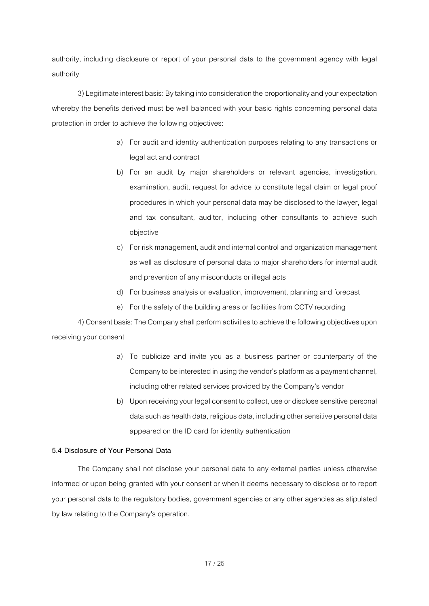authority, including disclosure or report of your personal data to the government agency with legal authority

3) Legitimate interest basis: By taking into consideration the proportionality and your expectation whereby the benefits derived must be well balanced with your basic rights concerning personal data protection in order to achieve the following objectives:

- a) For audit and identity authentication purposes relating to any transactions or legal act and contract
- b) For an audit by major shareholders or relevant agencies, investigation, examination, audit, request for advice to constitute legal claim or legal proof procedures in which your personal data may be disclosed to the lawyer, legal and tax consultant, auditor, including other consultants to achieve such objective
- c) For risk management, audit and internal control and organization management as well as disclosure of personal data to major shareholders for internal audit and prevention of any misconducts or illegal acts
- d) For business analysis or evaluation, improvement, planning and forecast
- e) For the safety of the building areas or facilities from CCTV recording

4) Consent basis: The Company shall perform activities to achieve the following objectives upon receiving your consent

- a) To publicize and invite you as a business partner or counterparty of the Company to be interested in using the vendor's platform as a payment channel, including other related services provided by the Company's vendor
- b) Upon receiving your legal consent to collect, use or disclose sensitive personal data such as health data, religious data, including other sensitive personal data appeared on the ID card for identity authentication

### **5.4 Disclosure of Your Personal Data**

The Company shall not disclose your personal data to any external parties unless otherwise informed or upon being granted with your consent or when it deems necessary to disclose or to report your personal data to the regulatory bodies, government agencies or any other agencies as stipulated by law relating to the Company's operation.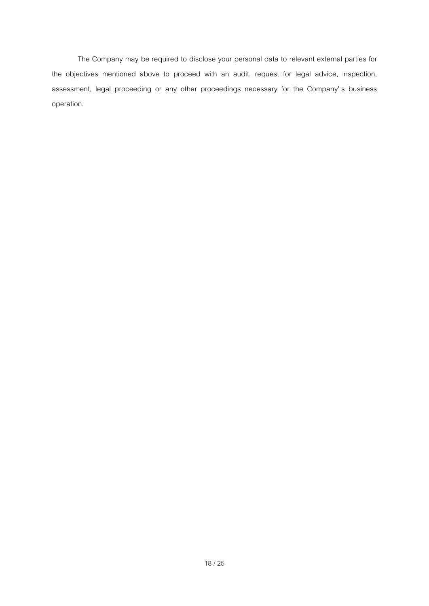The Company may be required to disclose your personal data to relevant external parties for the objectives mentioned above to proceed with an audit, request for legal advice, inspection, assessment, legal proceeding or any other proceedings necessary for the Company' s business operation.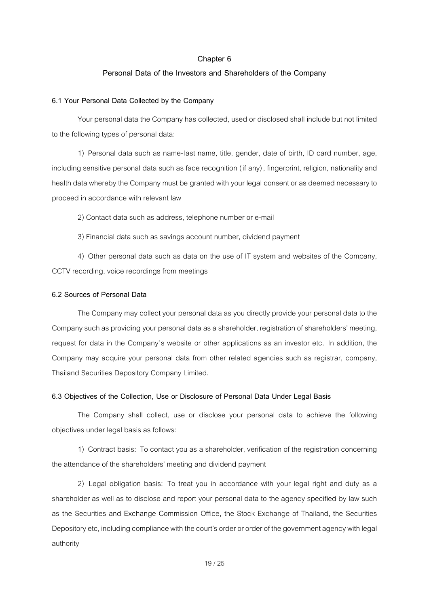#### **Personal Data of the Investors and Shareholders of the Company**

### **6.1 Your Personal Data Collected by the Company**

Your personal data the Company has collected, used or disclosed shall include but not limited to the following types of personal data:

1) Personal data such as name-last name, title, gender, date of birth, ID card number, age, including sensitive personal data such as face recognition (if any), fingerprint, religion, nationality and health data whereby the Company must be granted with your legal consent or as deemed necessary to proceed in accordance with relevant law

2) Contact data such as address, telephone number or e-mail

3)Financial data such as savings account number, dividend payment

4) Other personal data such as data on the use of IT system and websites of the Company, CCTV recording, voice recordings from meetings

### **6.2 Sources of Personal Data**

The Company may collect your personal data as you directly provide your personal data to the Company such as providing your personal data as a shareholder, registration of shareholders' meeting, request for data in the Company's website or other applications as an investor etc. In addition, the Company may acquire your personal data from other related agencies such as registrar, company, Thailand Securities Depository Company Limited.

#### **6.3 Objectives of the Collection, Use or Disclosure of Personal Data Under Legal Basis**

The Company shall collect, use or disclose your personal data to achieve the following objectives under legal basis as follows:

1) Contract basis: To contact you as a shareholder, verification of the registration concerning the attendance of the shareholders' meeting and dividend payment

2) Legal obligation basis: To treat you in accordance with your legal right and duty as a shareholder as well as to disclose and report your personal data to the agency specified by law such as the Securities and Exchange Commission Office, the Stock Exchange of Thailand, the Securities Depository etc, including compliance with the court's order or order of the government agency with legal authority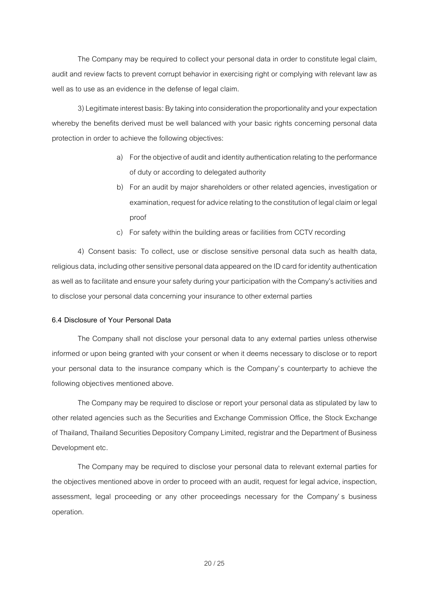The Company may be required to collect your personal data in order to constitute legal claim, audit and review facts to prevent corrupt behavior in exercising right or complying with relevant law as well as to use as an evidence in the defense of legal claim.

3) Legitimate interest basis: By taking into consideration the proportionality and your expectation whereby the benefits derived must be well balanced with your basic rights concerning personal data protection in order to achieve the following objectives:

- a) For the objective of audit and identity authentication relating to the performance of duty or according to delegated authority
- b) For an audit by major shareholders or other related agencies, investigation or examination, request for advice relating to the constitution of legal claimor legal proof
- c) For safety within the building areas or facilities from CCTV recording

4) Consent basis: To collect, use or disclose sensitive personal data such as health data, religious data, including other sensitive personal data appeared on the ID card for identity authentication as well as to facilitate and ensure your safety during your participation with the Company's activities and to disclose your personal data concerning your insurance to other external parties

### **6.4 Disclosure of Your Personal Data**

The Company shall not disclose your personal data to any external parties unless otherwise informed or upon being granted with your consent or when it deems necessary to disclose or to report your personal data to the insurance company which is the Company's counterparty to achieve the following objectives mentioned above.

The Company may be required to disclose or report your personal data as stipulated by law to other related agencies such as the Securities and Exchange Commission Office, the Stock Exchange of Thailand, Thailand Securities Depository Company Limited, registrarand the Department of Business Development etc.

The Company may be required to disclose your personal data to relevant external parties for the objectives mentioned above in order to proceed with an audit, request for legal advice, inspection, assessment, legal proceeding or any other proceedings necessary for the Company' s business operation.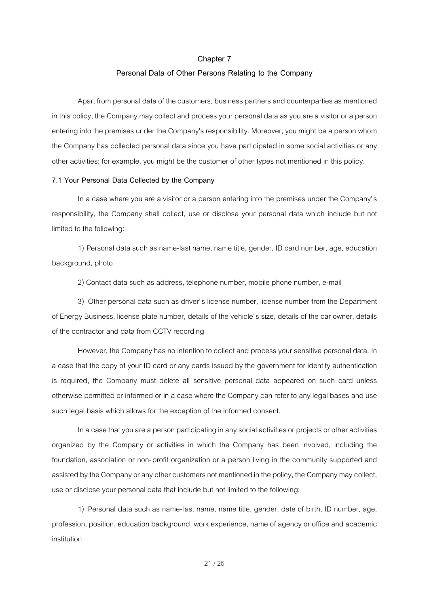### **Personal Data of Other Persons Relating to the Company**

Apart from personal data of the customers, business partners and counterparties as mentioned in this policy, the Company may collect and process your personal data as you are a visitor or a person entering into the premises under the Company's responsibility. Moreover, you might be a person whom the Company has collected personal data since you have participated in some social activities or any other activities; for example, you might be the customer of other types not mentioned in this policy.

### **7.1 Your Personal Data Collected by the Company**

In a case where you are a visitor or a person entering into the premises under the Company's responsibility, the Company shall collect, use or disclose your personal data which include but not limited to the following:

1) Personal data such as name-last name, name title, gender, ID card number, age, education background, photo

2) Contact data such as address, telephone number, mobile phone number, e-mail

3) Other personal data such as driver's license number, license number from the Department of Energy Business, license plate number, details of the vehicle's size, details of the car owner, details of the contractor and data from CCTV recording

However, the Company has no intention to collect and process your sensitive personal data. In a case that the copy of your ID card or any cards issued by the government for identity authentication is required, the Company must delete all sensitive personal data appeared on such card unless otherwise permitted or informed or in a case where the Company can refer to any legal bases and use such legal basis which allows for the exception of the informed consent.

In a case that you are a person participating in any social activities or projects or other activities organized by the Company or activities in which the Company has been involved, including the foundation, association or non-profit organization or a person living in the community supported and assisted by the Company or any other customers not mentioned in the policy, the Company may collect, use or disclose your personal data that include but not limited to the following:

1) Personal data such as name-last name, name title, gender, date of birth, ID number, age, profession, position, education background, work experience, name of agency or office and academic institution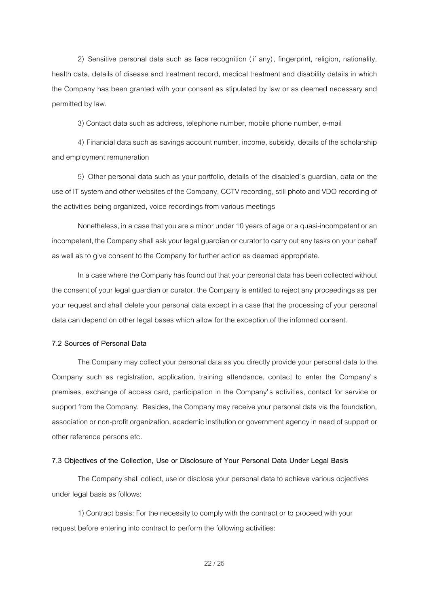2) Sensitive personal data such as face recognition (if any), fingerprint, religion, nationality, health data, details of disease and treatment record, medical treatment and disability details in which the Company has been granted with your consent as stipulated by law or as deemed necessary and permitted by law.

3) Contact data such as address, telephone number, mobile phone number, e-mail

4) Financial data such as savings account number, income, subsidy, details of the scholarship and employment remuneration

5) Other personal data such as your portfolio, details of the disabled's guardian, data on the use of IT system and other websites of the Company, CCTV recording, still photo and VDO recording of the activities being organized, voice recordings from various meetings

Nonetheless, in a case that you are a minor under 10 years of age or a quasi-incompetent or an incompetent, the Company shall ask your legal guardian or curator to carry out any tasks on your behalf as well as to give consent to the Company for further action as deemed appropriate.

In a case where the Company has found out that your personal data has been collected without the consent of your legal guardian or curator, the Company is entitled to reject any proceedings as per your request and shall delete your personal data except in a case that the processing of your personal data can depend on other legal bases which allow for the exception of the informed consent.

### **7.2 Sources of Personal Data**

The Company may collect your personal data as you directly provide your personal data to the Company such as registration, application, training attendance, contact to enter the Company' s premises, exchange of access card, participation in the Company's activities, contact for service or support from the Company. Besides, the Company may receive your personal data via the foundation, association or non-profit organization, academic institution or government agency in need of support or other reference persons etc.

#### **7.3 Objectives of the Collection, Use or Disclosure of Your Personal Data Under Legal Basis**

The Company shall collect, use or disclose your personal data to achieve various objectives under legal basis as follows:

1) Contract basis: For the necessity to comply with the contract or to proceed with your request before entering into contract to perform the following activities:

22/ 25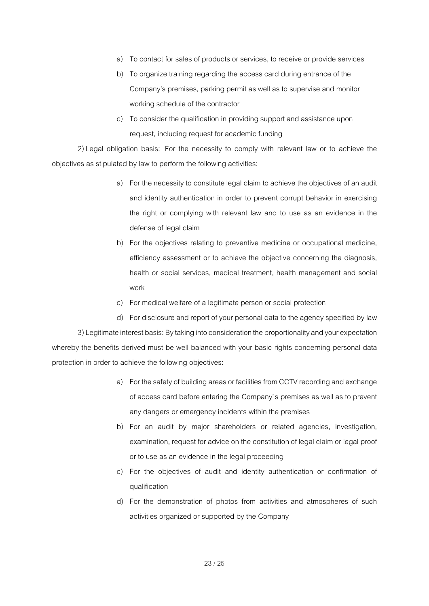- a) To contact for sales of products or services, to receive or provide services
- b) To organize training regarding the access card during entrance of the Company's premises, parking permit as well as to supervise and monitor working schedule of the contractor
- c) To consider the qualification in providing support and assistance upon request, including request for academic funding

2)Legal obligation basis: For the necessity to comply with relevant law or to achieve the objectives as stipulated by law to perform the following activities:

- a) For the necessity to constitute legal claim to achieve the objectives of an audit and identity authentication in order to prevent corrupt behavior in exercising the right or complying with relevant law and to use as an evidence in the defense of legal claim
- b) For the objectives relating to preventive medicine or occupational medicine, efficiency assessment or to achieve the objective concerning the diagnosis, health or social services, medical treatment, health management and social work
- c) For medical welfare of a legitimate person or social protection
- d) For disclosure and report of your personal data to the agency specified by law

3)Legitimate interest basis: By taking into consideration the proportionality and your expectation whereby the benefits derived must be well balanced with your basic rights concerning personal data protection in order to achieve the following objectives:

- a) For the safety of building areas or facilities from CCTV recording and exchange of access card before entering the Company's premises as well as to prevent any dangers or emergency incidents within the premises
- b) For an audit by major shareholders or related agencies, investigation, examination, request for advice on the constitution of legal claim or legal proof or to use as an evidence in the legal proceeding
- c) For the objectives of audit and identity authentication or confirmation of qualification
- d) For the demonstration of photos from activities and atmospheres of such activities organized or supported by the Company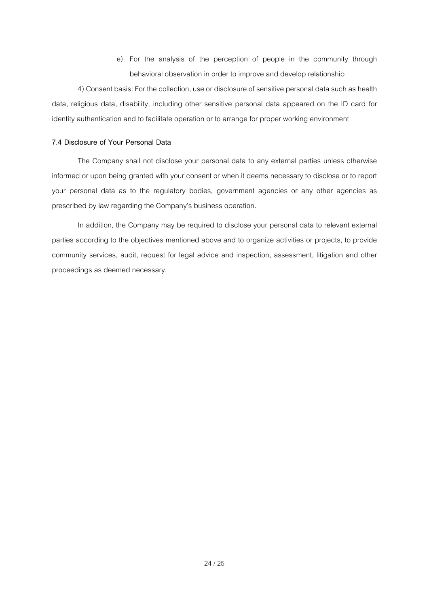e) For the analysis of the perception of people in the community through behavioral observation in order to improve and develop relationship

4) Consent basis: For the collection, use or disclosure of sensitive personal data such as health data, religious data, disability, including other sensitive personal data appeared on the ID card for identity authentication and to facilitate operation or to arrange for proper working environment

### **7.4 Disclosure of Your Personal Data**

The Company shall not disclose your personal data to any external parties unless otherwise informed or upon being granted with your consent or when it deems necessary to disclose or to report your personal data as to the regulatory bodies, government agencies or any other agencies as prescribed by law regarding the Company's business operation.

In addition, the Company may be required to disclose your personal data to relevant external parties according to the objectives mentioned above and to organize activities or projects, to provide community services, audit, request for legal advice and inspection, assessment, litigation and other proceedings as deemed necessary.